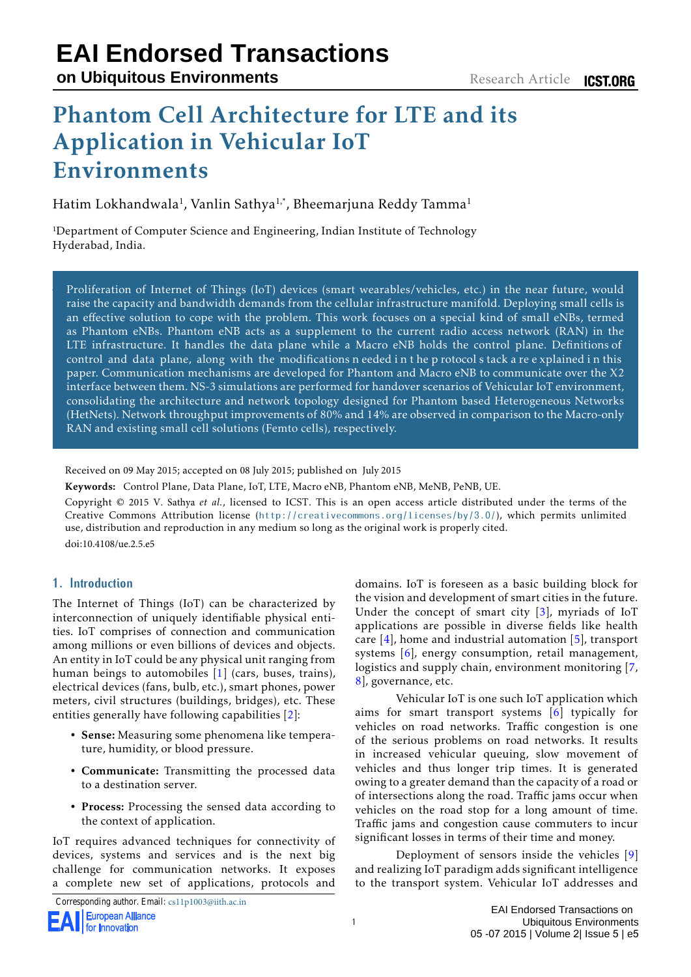# Phantom Cell Architecture for LTE and its Application in Vehicular IoT Environments

Hatim Lokhandwala<sup>1</sup>, Vanlin Sathya<sup>1,\*</sup>, Bheemarjuna Reddy Tamma<sup>1</sup>

<sup>1</sup>Department of Computer Science and Engineering, Indian Institute of Technology Hyderabad, India.

Proliferation of Internet of Things (IoT) devices (smart wearables/vehicles, etc.) in the near future, would raise the capacity and bandwidth demands from the cellular infrastructure manifold. Deploying small cells is an effective solution to cope with the problem. This work focuses on a special kind of small eNBs, termed as Phantom eNBs. Phantom eNB acts as a supplement to the current radio access network (RAN) in the LTE infrastructure. It handles the data plane while a Macro eNB holds the control plane. Definitions of control and data plane, along with the modifications n eeded i n t he p rotocol s tack a re e xplained i n this paper. Communication mechanisms are developed for Phantom and Macro eNB to communicate over the X2 interface between them. NS-3 simulations are performed for handover scenarios of Vehicular IoT environment, consolidating the architecture and network topology designed for Phantom based Heterogeneous Networks (HetNets). Network throughput improvements of 80% and 14% are observed in comparison to the Macro-only RAN and existing small cell solutions (Femto cells), respectively.

Received on 09 May 2015; accepted on 08 July 2015; published on 10 July 2015

Keywords: Control Plane, Data Plane, IoT, LTE, Macro eNB, Phantom eNB, MeNB, PeNB, UE.

Copyright © 2015 V. Sathya *et al.*, licensed to ICST. This is an open access article distributed under the terms of the Creative Commons Attribution license (<http://creativecommons.org/licenses/by/3.0/>), which permits unlimited use, distribution and reproduction in any medium so long as the original work is properly cited.

doi:10.4108/ue.2.5.e5

# **1. Introduction**

The Internet of Things (IoT) can be characterized by interconnection of uniquely identifiable physical entities. IoT comprises of connection and communication among millions or even billions of devices and objects. An entity in IoT could be any physical unit ranging from human beings to automobiles [\[1\]](#page-14-0) (cars, buses, trains), electrical devices (fans, bulb, etc.), smart phones, power meters, civil structures (buildings, bridges), etc. These entities generally have following capabilities [\[2\]](#page-14-1):

- Sense: Measuring some phenomena like temperature, humidity, or blood pressure.
- Communicate: Transmitting the processed data to a destination server.
- Process: Processing the sensed data according to the context of application.

IoT requires advanced techniques for connectivity of devices, systems and services and is the next big challenge for communication networks. It exposes a complete new set of applications, protocols and

Corresponding author. Email: cs11p1003@iith.ac.in

domains. IoT is foreseen as a basic building block for the vision and development of smart cities in the future. Under the concept of smart city  $[3]$ , myriads of IoT applications are possible in diverse fields like health care  $[4]$ , home and industrial automation  $[5]$ , transport systems [\[6\]](#page-14-5), energy consumption, retail management, logistics and supply chain, environment monitoring [\[7,](#page-14-6)] [8\]](#page-14-7), governance, etc.

Vehicular IoT is one such IoT application which aims for smart transport systems [\[6\]](#page-14-5) typically for vehicles on road networks. Traffic congestion is one of the serious problems on road networks. It results in increased vehicular queuing, slow movement of vehicles and thus longer trip times. It is generated owing to a greater demand than the capacity of a road or of intersections along the road. Traffic jams occur when vehicles on the road stop for a long amount of time. Traffic jams and congestion cause commuters to incur significant losses in terms of their time and money.

Deployment of sensors inside the vehicles [\[9\]](#page-14-8) and realizing IoT paradigm adds significant intelligence to the transport system. Vehicular IoT addresses and

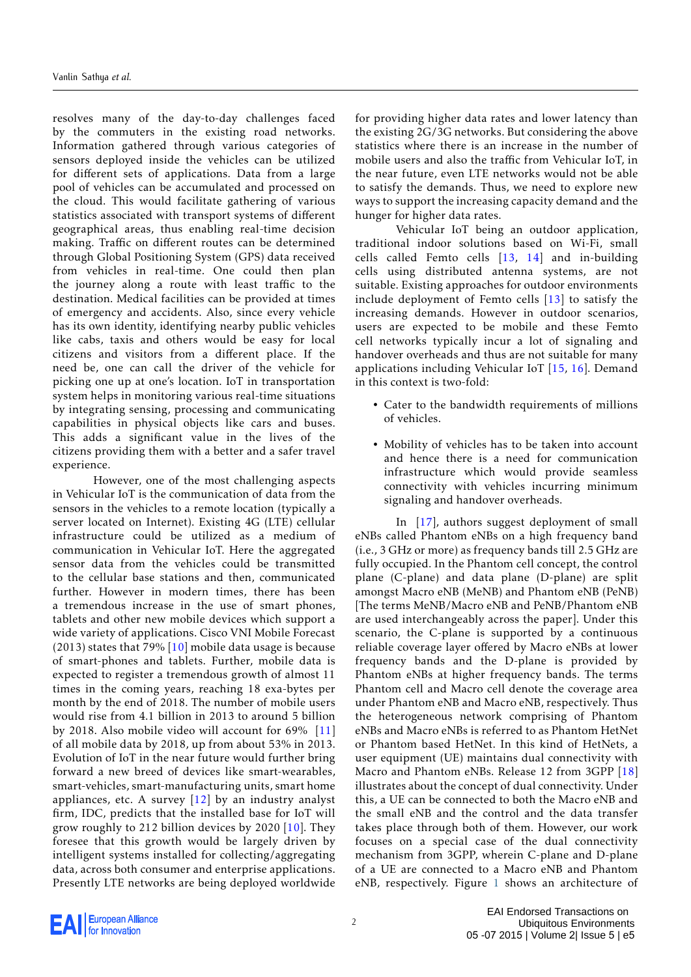resolves many of the day-to-day challenges faced by the commuters in the existing road networks. Information gathered through various categories of sensors deployed inside the vehicles can be utilized for different sets of applications. Data from a large pool of vehicles can be accumulated and processed on the cloud. This would facilitate gathering of various statistics associated with transport systems of different geographical areas, thus enabling real-time decision making. Traffic on different routes can be determined through Global Positioning System (GPS) data received from vehicles in real-time. One could then plan the journey along a route with least traffic to the destination. Medical facilities can be provided at times of emergency and accidents. Also, since every vehicle has its own identity, identifying nearby public vehicles like cabs, taxis and others would be easy for local citizens and visitors from a different place. If the need be, one can call the driver of the vehicle for picking one up at one's location. IoT in transportation system helps in monitoring various real-time situations by integrating sensing, processing and communicating capabilities in physical objects like cars and buses. This adds a significant value in the lives of the citizens providing them with a better and a safer travel experience.

However, one of the most challenging aspects in Vehicular IoT is the communication of data from the sensors in the vehicles to a remote location (typically a server located on Internet). Existing 4G (LTE) cellular infrastructure could be utilized as a medium of communication in Vehicular IoT. Here the aggregated sensor data from the vehicles could be transmitted to the cellular base stations and then, communicated further. However in modern times, there has been a tremendous increase in the use of smart phones, tablets and other new mobile devices which support a wide variety of applications. Cisco VNI Mobile Forecast (2013) states that 79%  $[10]$  mobile data usage is because of smart-phones and tablets. Further, mobile data is expected to register a tremendous growth of almost 11 times in the coming years, reaching 18 exa-bytes per month by the end of 2018. The number of mobile users would rise from 4.1 billion in 2013 to around 5 billion by 2018. Also mobile video will account for 69% [\[11\]](#page-15-1) of all mobile data by 2018, up from about 53% in 2013. Evolution of IoT in the near future would further bring forward a new breed of devices like smart-wearables, smart-vehicles, smart-manufacturing units, smart home appliances, etc. A survey  $[12]$  by an industry analyst firm, IDC, predicts that the installed base for IoT will grow roughly to 212 billion devices by 2020 [\[10\]](#page-15-0). They foresee that this growth would be largely driven by intelligent systems installed for collecting/aggregating data, across both consumer and enterprise applications. Presently LTE networks are being deployed worldwide

for providing higher data rates and lower latency than the existing 2G/3G networks. But considering the above statistics where there is an increase in the number of mobile users and also the traffic from Vehicular IoT, in the near future, even LTE networks would not be able to satisfy the demands. Thus, we need to explore new ways to support the increasing capacity demand and the hunger for higher data rates.

Vehicular IoT being an outdoor application, traditional indoor solutions based on Wi-Fi, small cells called Femto cells [\[13,](#page-15-3) [14\]](#page-15-4) and in-building cells using distributed antenna systems, are not suitable. Existing approaches for outdoor environments include deployment of Femto cells [\[13\]](#page-15-3) to satisfy the increasing demands. However in outdoor scenarios, users are expected to be mobile and these Femto cell networks typically incur a lot of signaling and handover overheads and thus are not suitable for many applications including Vehicular IoT [\[15,](#page-15-5) [16\]](#page-15-6). Demand in this context is two-fold:

- Cater to the bandwidth requirements of millions of vehicles.
- Mobility of vehicles has to be taken into account and hence there is a need for communication infrastructure which would provide seamless connectivity with vehicles incurring minimum signaling and handover overheads.

In [\[17\]](#page-15-7), authors suggest deployment of small eNBs called Phantom eNBs on a high frequency band (i.e., 3 GHz or more) as frequency bands till 2.5 GHz are fully occupied. In the Phantom cell concept, the control plane (C-plane) and data plane (D-plane) are split amongst Macro eNB (MeNB) and Phantom eNB (PeNB) [The terms MeNB/Macro eNB and PeNB/Phantom eNB are used interchangeably across the paper]. Under this scenario, the C-plane is supported by a continuous reliable coverage layer offered by Macro eNBs at lower frequency bands and the D-plane is provided by Phantom eNBs at higher frequency bands. The terms Phantom cell and Macro cell denote the coverage area under Phantom eNB and Macro eNB, respectively. Thus the heterogeneous network comprising of Phantom eNBs and Macro eNBs is referred to as Phantom HetNet or Phantom based HetNet. In this kind of HetNets, a user equipment (UE) maintains dual connectivity with Macro and Phantom eNBs. Release 12 from 3GPP [\[18\]](#page-15-8) illustrates about the concept of dual connectivity. Under this, a UE can be connected to both the Macro eNB and the small eNB and the control and the data transfer takes place through both of them. However, our work focuses on a special case of the dual connectivity mechanism from 3GPP, wherein C-plane and D-plane of a UE are connected to a Macro eNB and Phantom eNB, respectively. Figure [1](#page-2-0) shows an architecture of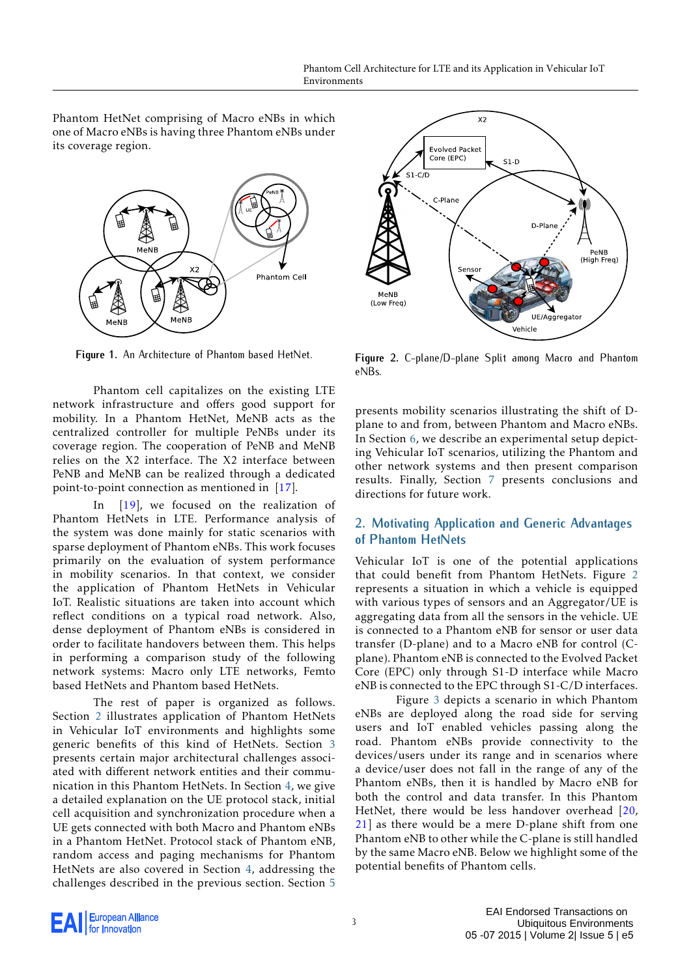Phantom HetNet comprising of Macro eNBs in which one of Macro eNBs is having three Phantom eNBs under its coverage region.

<span id="page-2-0"></span>

**Figure 1.** An Architecture of Phantom based HetNet.

Phantom cell capitalizes on the existing LTE network infrastructure and offers good support for mobility. In a Phantom HetNet, MeNB acts as the centralized controller for multiple PeNBs under its coverage region. The cooperation of PeNB and MeNB relies on the X2 interface. The X2 interface between PeNB and MeNB can be realized through a dedicated point-to-point connection as mentioned in [\[17\]](#page-15-7).

In [\[19\]](#page-15-9), we focused on the realization of Phantom HetNets in LTE. Performance analysis of the system was done mainly for static scenarios with sparse deployment of Phantom eNBs. This work focuses primarily on the evaluation of system performance in mobility scenarios. In that context, we consider the application of Phantom HetNets in Vehicular IoT. Realistic situations are taken into account which reflect conditions on a typical road network. Also, dense deployment of Phantom eNBs is considered in order to facilitate handovers between them. This helps in performing a comparison study of the following network systems: Macro only LTE networks, Femto based HetNets and Phantom based HetNets.

The rest of paper is organized as follows. Section [2](#page-2-1) illustrates application of Phantom HetNets in Vehicular IoT environments and highlights some generic benefits of this kind of HetNets. Section [3](#page-3-0) presents certain major architectural challenges associated with different network entities and their communication in this Phantom HetNets. In Section [4,](#page-4-0) we give a detailed explanation on the UE protocol stack, initial cell acquisition and synchronization procedure when a UE gets connected with both Macro and Phantom eNBs in a Phantom HetNet. Protocol stack of Phantom eNB, random access and paging mechanisms for Phantom HetNets are also covered in Section [4,](#page-4-0) addressing the challenges described in the previous section. Section [5](#page-6-0)

<span id="page-2-2"></span>

**Figure 2.** C-plane/D-plane Split among Macro and Phantom eNBs.

presents mobility scenarios illustrating the shift of Dplane to and from, between Phantom and Macro eNBs. In Section [6,](#page-8-0) we describe an experimental setup depicting Vehicular IoT scenarios, utilizing the Phantom and other network systems and then present comparison results. Finally, Section [7](#page-14-9) presents conclusions and directions for future work.

## <span id="page-2-1"></span>**2. Motivating Application and Generic Advantages of Phantom HetNets**

Vehicular IoT is one of the potential applications that could benefit from Phantom HetNets. Figure [2](#page-2-2) represents a situation in which a vehicle is equipped with various types of sensors and an Aggregator/UE is aggregating data from all the sensors in the vehicle. UE is connected to a Phantom eNB for sensor or user data transfer (D-plane) and to a Macro eNB for control (Cplane). Phantom eNB is connected to the Evolved Packet Core (EPC) only through S1-D interface while Macro eNB is connected to the EPC through S1-C/D interfaces.

Figure [3](#page-3-1) depicts a scenario in which Phantom eNBs are deployed along the road side for serving users and IoT enabled vehicles passing along the road. Phantom eNBs provide connectivity to the devices/users under its range and in scenarios where a device/user does not fall in the range of any of the Phantom eNBs, then it is handled by Macro eNB for both the control and data transfer. In this Phantom HetNet, there would be less handover overhead [\[20,](#page-15-10) [21\]](#page-15-11) as there would be a mere D-plane shift from one Phantom eNB to other while the C-plane is still handled by the same Macro eNB. Below we highlight some of the potential benefits of Phantom cells.

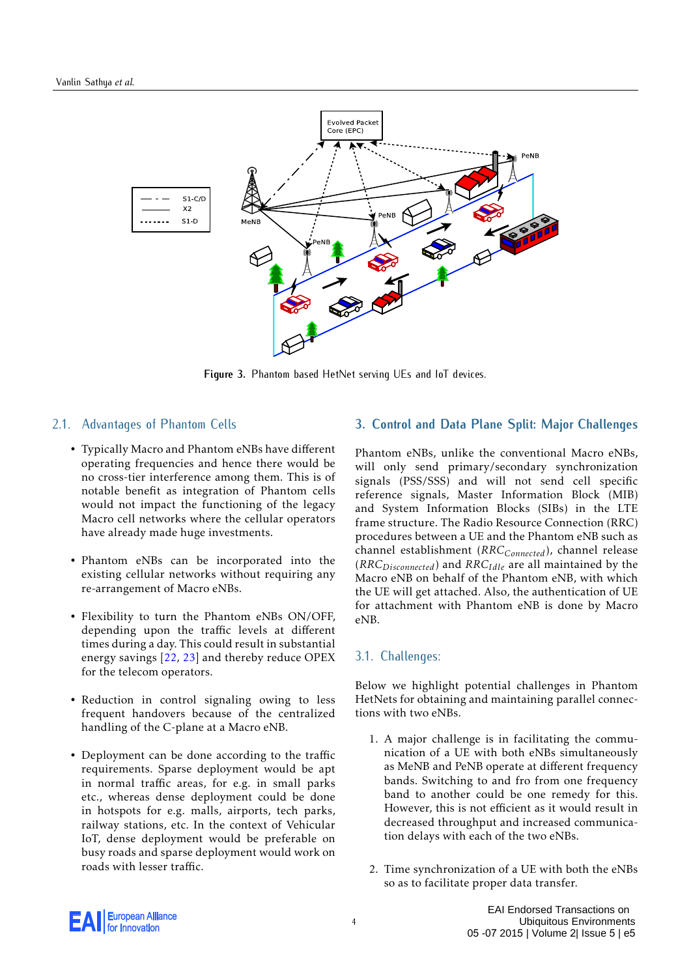<span id="page-3-1"></span>

**Figure 3.** Phantom based HetNet serving UEs and IoT devices.

## 2.1. Advantages of Phantom Cells

- Typically Macro and Phantom eNBs have different operating frequencies and hence there would be no cross-tier interference among them. This is of notable benefit as integration of Phantom cells would not impact the functioning of the legacy Macro cell networks where the cellular operators have already made huge investments.
- Phantom eNBs can be incorporated into the existing cellular networks without requiring any re-arrangement of Macro eNBs.
- Flexibility to turn the Phantom eNBs ON/OFF, depending upon the traffic levels at different times during a day. This could result in substantial energy savings [\[22,](#page-15-12) [23\]](#page-15-13) and thereby reduce OPEX for the telecom operators.
- Reduction in control signaling owing to less frequent handovers because of the centralized handling of the C-plane at a Macro eNB.
- Deployment can be done according to the traffic requirements. Sparse deployment would be apt in normal traffic areas, for e.g. in small parks etc., whereas dense deployment could be done in hotspots for e.g. malls, airports, tech parks, railway stations, etc. In the context of Vehicular IoT, dense deployment would be preferable on busy roads and sparse deployment would work on roads with lesser traffic.

## **3. Control and Data Plane Split: Major Challenges**

Phantom eNBs, unlike the conventional Macro eNBs, will only send primary/secondary synchronization signals (PSS/SSS) and will not send cell specific reference signals, Master Information Block (MIB) and System Information Blocks (SIBs) in the LTE frame structure. The Radio Resource Connection (RRC) procedures between a UE and the Phantom eNB such as channel establishment (*RRCConnected*), channel release (*RRCDisconnected*) and *RRCIdle* are all maintained by the Macro eNB on behalf of the Phantom eNB, with which the UE will get attached. Also, the authentication of UE for attachment with Phantom eNB is done by Macro eNB.

#### 3.1. Challenges:

Below we highlight potential challenges in Phantom HetNets for obtaining and maintaining parallel connections with two eNBs.

- 1. A major challenge is in facilitating the communication of a UE with both eNBs simultaneously as MeNB and PeNB operate at different frequency bands. Switching to and fro from one frequency band to another could be one remedy for this. However, this is not efficient as it would result in decreased throughput and increased communication delays with each of the two eNBs.
- 2. Time synchronization of a UE with both the eNBs so as to facilitate proper data transfer.

<span id="page-3-0"></span>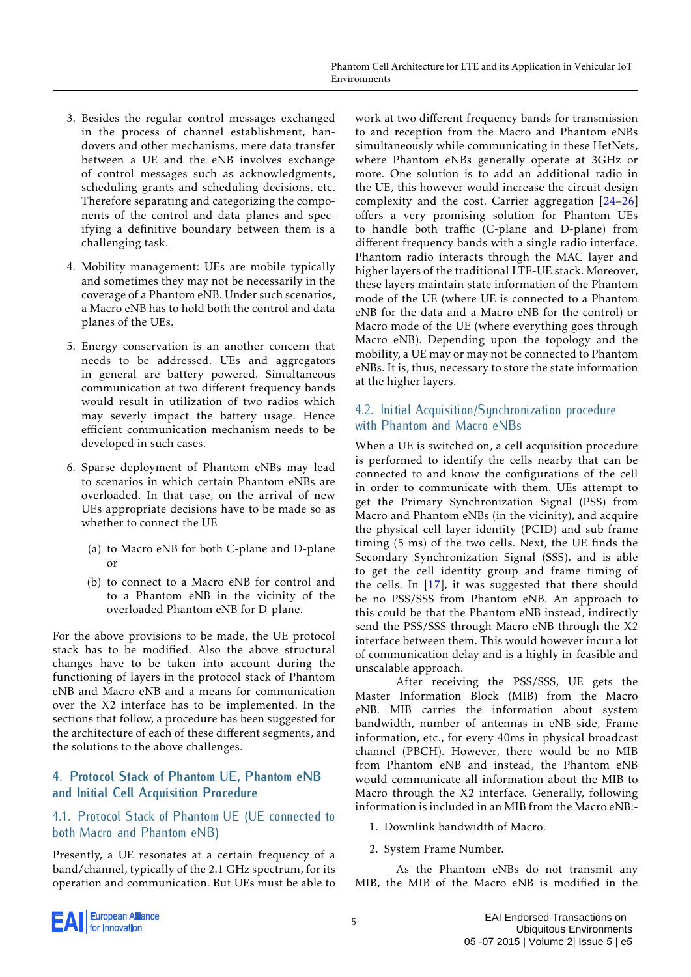- 3. Besides the regular control messages exchanged in the process of channel establishment, handovers and other mechanisms, mere data transfer between a UE and the eNB involves exchange of control messages such as acknowledgments, scheduling grants and scheduling decisions, etc. Therefore separating and categorizing the components of the control and data planes and specifying a definitive boundary between them is a challenging task.
- 4. Mobility management: UEs are mobile typically and sometimes they may not be necessarily in the coverage of a Phantom eNB. Under such scenarios, a Macro eNB has to hold both the control and data planes of the UEs.
- 5. Energy conservation is an another concern that needs to be addressed. UEs and aggregators in general are battery powered. Simultaneous communication at two different frequency bands would result in utilization of two radios which may severly impact the battery usage. Hence efficient communication mechanism needs to be developed in such cases.
- 6. Sparse deployment of Phantom eNBs may lead to scenarios in which certain Phantom eNBs are overloaded. In that case, on the arrival of new UEs appropriate decisions have to be made so as whether to connect the UE
	- (a) to Macro eNB for both C-plane and D-plane or
	- (b) to connect to a Macro eNB for control and to a Phantom eNB in the vicinity of the overloaded Phantom eNB for D-plane.

For the above provisions to be made, the UE protocol stack has to be modified. Also the above structural changes have to be taken into account during the functioning of layers in the protocol stack of Phantom eNB and Macro eNB and a means for communication over the X2 interface has to be implemented. In the sections that follow, a procedure has been suggested for the architecture of each of these different segments, and the solutions to the above challenges.

# <span id="page-4-0"></span>**4. Protocol Stack of Phantom UE, Phantom eNB and Initial Cell Acquisition Procedure**

# 4.1. Protocol Stack of Phantom UE (UE connected to both Macro and Phantom eNB)

Presently, a UE resonates at a certain frequency of a band/channel, typically of the 2.1 GHz spectrum, for its operation and communication. But UEs must be able to work at two different frequency bands for transmission to and reception from the Macro and Phantom eNBs simultaneously while communicating in these HetNets, where Phantom eNBs generally operate at 3GHz or more. One solution is to add an additional radio in the UE, this however would increase the circuit design complexity and the cost. Carrier aggregation [\[24–](#page-15-14)[26\]](#page-15-15) offers a very promising solution for Phantom UEs to handle both traffic (C-plane and D-plane) from different frequency bands with a single radio interface. Phantom radio interacts through the MAC layer and higher layers of the traditional LTE-UE stack. Moreover, these layers maintain state information of the Phantom mode of the UE (where UE is connected to a Phantom eNB for the data and a Macro eNB for the control) or Macro mode of the UE (where everything goes through Macro eNB). Depending upon the topology and the mobility, a UE may or may not be connected to Phantom eNBs. It is, thus, necessary to store the state information at the higher layers.

# 4.2. Initial Acquisition/Synchronization procedure with Phantom and Macro eNBs

When a UE is switched on, a cell acquisition procedure is performed to identify the cells nearby that can be connected to and know the configurations of the cell in order to communicate with them. UEs attempt to get the Primary Synchronization Signal (PSS) from Macro and Phantom eNBs (in the vicinity), and acquire the physical cell layer identity (PCID) and sub-frame timing (5 ms) of the two cells. Next, the UE finds the Secondary Synchronization Signal (SSS), and is able to get the cell identity group and frame timing of the cells. In [\[17\]](#page-15-7), it was suggested that there should be no PSS/SSS from Phantom eNB. An approach to this could be that the Phantom eNB instead, indirectly send the PSS/SSS through Macro eNB through the X2 interface between them. This would however incur a lot of communication delay and is a highly in-feasible and unscalable approach.

After receiving the PSS/SSS, UE gets the Master Information Block (MIB) from the Macro eNB. MIB carries the information about system bandwidth, number of antennas in eNB side, Frame information, etc., for every 40ms in physical broadcast channel (PBCH). However, there would be no MIB from Phantom eNB and instead, the Phantom eNB would communicate all information about the MIB to Macro through the X2 interface. Generally, following information is included in an MIB from the Macro eNB:-

- 1. Downlink bandwidth of Macro.
- 2. System Frame Number.

As the Phantom eNBs do not transmit any MIB, the MIB of the Macro eNB is modified in the

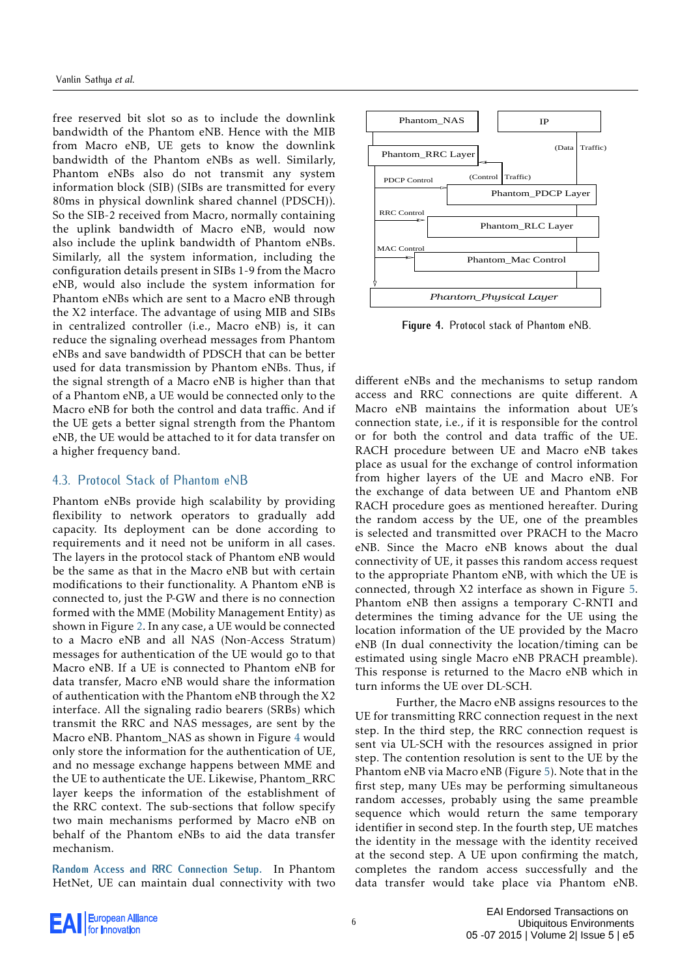free reserved bit slot so as to include the downlink bandwidth of the Phantom eNB. Hence with the MIB from Macro eNB, UE gets to know the downlink bandwidth of the Phantom eNBs as well. Similarly, Phantom eNBs also do not transmit any system information block (SIB) (SIBs are transmitted for every 80ms in physical downlink shared channel (PDSCH)). So the SIB-2 received from Macro, normally containing the uplink bandwidth of Macro eNB, would now also include the uplink bandwidth of Phantom eNBs. Similarly, all the system information, including the configuration details present in SIBs 1-9 from the Macro eNB, would also include the system information for Phantom eNBs which are sent to a Macro eNB through the X2 interface. The advantage of using MIB and SIBs in centralized controller (i.e., Macro eNB) is, it can reduce the signaling overhead messages from Phantom eNBs and save bandwidth of PDSCH that can be better used for data transmission by Phantom eNBs. Thus, if the signal strength of a Macro eNB is higher than that of a Phantom eNB, a UE would be connected only to the Macro eNB for both the control and data traffic. And if the UE gets a better signal strength from the Phantom eNB, the UE would be attached to it for data transfer on a higher frequency band.

## 4.3. Protocol Stack of Phantom eNB

Phantom eNBs provide high scalability by providing flexibility to network operators to gradually add capacity. Its deployment can be done according to requirements and it need not be uniform in all cases. The layers in the protocol stack of Phantom eNB would be the same as that in the Macro eNB but with certain modifications to their functionality. A Phantom eNB is connected to, just the P-GW and there is no connection formed with the MME (Mobility Management Entity) as shown in Figure [2.](#page-2-2) In any case, a UE would be connected to a Macro eNB and all NAS (Non-Access Stratum) messages for authentication of the UE would go to that Macro eNB. If a UE is connected to Phantom eNB for data transfer, Macro eNB would share the information of authentication with the Phantom eNB through the X2 interface. All the signaling radio bearers (SRBs) which transmit the RRC and NAS messages, are sent by the Macro eNB. Phantom\_NAS as shown in Figure [4](#page-5-0) would only store the information for the authentication of UE, and no message exchange happens between MME and the UE to authenticate the UE. Likewise, Phantom\_RRC layer keeps the information of the establishment of the RRC context. The sub-sections that follow specify two main mechanisms performed by Macro eNB on behalf of the Phantom eNBs to aid the data transfer mechanism.

**Random Access and RRC Connection Setup.** In Phantom HetNet, UE can maintain dual connectivity with two

<span id="page-5-0"></span>

**Figure 4.** Protocol stack of Phantom eNB.

different eNBs and the mechanisms to setup random access and RRC connections are quite different. A Macro eNB maintains the information about UE's connection state, i.e., if it is responsible for the control or for both the control and data traffic of the UE. RACH procedure between UE and Macro eNB takes place as usual for the exchange of control information from higher layers of the UE and Macro eNB. For the exchange of data between UE and Phantom eNB RACH procedure goes as mentioned hereafter. During the random access by the UE, one of the preambles is selected and transmitted over PRACH to the Macro eNB. Since the Macro eNB knows about the dual connectivity of UE, it passes this random access request to the appropriate Phantom eNB, with which the UE is connected, through X2 interface as shown in Figure [5.](#page-6-1) Phantom eNB then assigns a temporary C-RNTI and determines the timing advance for the UE using the location information of the UE provided by the Macro eNB (In dual connectivity the location/timing can be estimated using single Macro eNB PRACH preamble). This response is returned to the Macro eNB which in turn informs the UE over DL-SCH.

Further, the Macro eNB assigns resources to the UE for transmitting RRC connection request in the next step. In the third step, the RRC connection request is sent via UL-SCH with the resources assigned in prior step. The contention resolution is sent to the UE by the Phantom eNB via Macro eNB (Figure [5\)](#page-6-1). Note that in the first step, many UEs may be performing simultaneous random accesses, probably using the same preamble sequence which would return the same temporary identifier in second step. In the fourth step, UE matches the identity in the message with the identity received at the second step. A UE upon confirming the match, completes the random access successfully and the data transfer would take place via Phantom eNB.

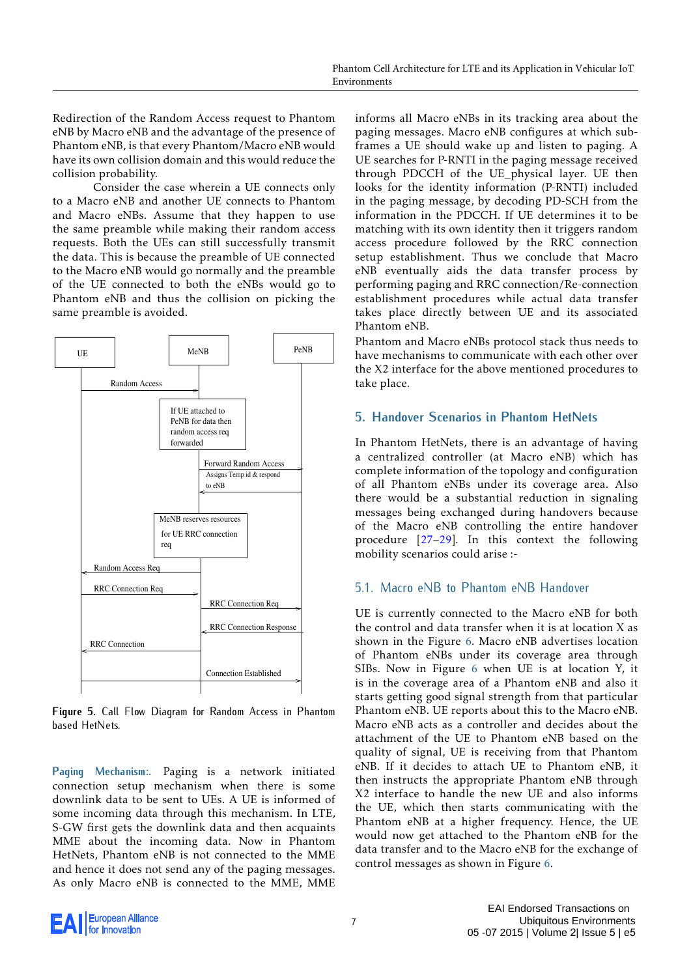Redirection of the Random Access request to Phantom eNB by Macro eNB and the advantage of the presence of Phantom eNB, is that every Phantom/Macro eNB would have its own collision domain and this would reduce the collision probability.

Consider the case wherein a UE connects only to a Macro eNB and another UE connects to Phantom and Macro eNBs. Assume that they happen to use the same preamble while making their random access requests. Both the UEs can still successfully transmit the data. This is because the preamble of UE connected to the Macro eNB would go normally and the preamble of the UE connected to both the eNBs would go to Phantom eNB and thus the collision on picking the same preamble is avoided.

<span id="page-6-1"></span>

**Figure 5.** Call Flow Diagram for Random Access in Phantom based HetNets.

**Paging Mechanism:.** Paging is a network initiated connection setup mechanism when there is some downlink data to be sent to UEs. A UE is informed of some incoming data through this mechanism. In LTE, S-GW first gets the downlink data and then acquaints MME about the incoming data. Now in Phantom HetNets, Phantom eNB is not connected to the MME and hence it does not send any of the paging messages. As only Macro eNB is connected to the MME, MME informs all Macro eNBs in its tracking area about the paging messages. Macro eNB configures at which subframes a UE should wake up and listen to paging. A UE searches for P-RNTI in the paging message received through PDCCH of the UE\_physical layer. UE then looks for the identity information (P-RNTI) included in the paging message, by decoding PD-SCH from the information in the PDCCH. If UE determines it to be matching with its own identity then it triggers random access procedure followed by the RRC connection setup establishment. Thus we conclude that Macro eNB eventually aids the data transfer process by performing paging and RRC connection/Re-connection establishment procedures while actual data transfer takes place directly between UE and its associated Phantom eNB.

Phantom and Macro eNBs protocol stack thus needs to have mechanisms to communicate with each other over the X2 interface for the above mentioned procedures to take place.

# <span id="page-6-0"></span>**5. Handover Scenarios in Phantom HetNets**

In Phantom HetNets, there is an advantage of having a centralized controller (at Macro eNB) which has complete information of the topology and configuration of all Phantom eNBs under its coverage area. Also there would be a substantial reduction in signaling messages being exchanged during handovers because of the Macro eNB controlling the entire handover procedure [\[27](#page-15-16)[–29\]](#page-15-17). In this context the following mobility scenarios could arise :-

# <span id="page-6-2"></span>5.1. Macro eNB to Phantom eNB Handover

UE is currently connected to the Macro eNB for both the control and data transfer when it is at location X as shown in the Figure [6.](#page-7-0) Macro eNB advertises location of Phantom eNBs under its coverage area through SIBs. Now in Figure [6](#page-7-0) when UE is at location Y, it is in the coverage area of a Phantom eNB and also it starts getting good signal strength from that particular Phantom eNB. UE reports about this to the Macro eNB. Macro eNB acts as a controller and decides about the attachment of the UE to Phantom eNB based on the quality of signal, UE is receiving from that Phantom eNB. If it decides to attach UE to Phantom eNB, it then instructs the appropriate Phantom eNB through X2 interface to handle the new UE and also informs the UE, which then starts communicating with the Phantom eNB at a higher frequency. Hence, the UE would now get attached to the Phantom eNB for the data transfer and to the Macro eNB for the exchange of control messages as shown in Figure [6.](#page-7-0)

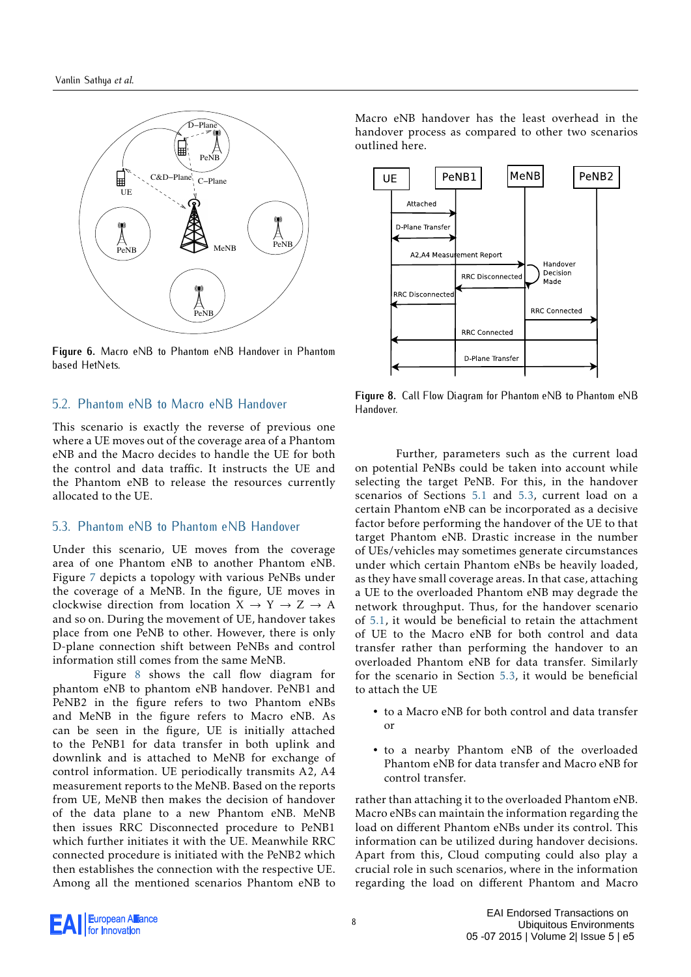<span id="page-7-0"></span>

**Figure 6.** Macro eNB to Phantom eNB Handover in Phantom based HetNets.

## 5.2. Phantom eNB to Macro eNB Handover

This scenario is exactly the reverse of previous one where a UE moves out of the coverage area of a Phantom eNB and the Macro decides to handle the UE for both the control and data traffic. It instructs the UE and the Phantom eNB to release the resources currently allocated to the UE.

#### <span id="page-7-2"></span>5.3. Phantom eNB to Phantom eNB Handover

Under this scenario, UE moves from the coverage area of one Phantom eNB to another Phantom eNB. Figure [7](#page-8-1) depicts a topology with various PeNBs under the coverage of a MeNB. In the figure, UE moves in clockwise direction from location  $X \rightarrow Y \rightarrow Z \rightarrow A$ and so on. During the movement of UE, handover takes place from one PeNB to other. However, there is only D-plane connection shift between PeNBs and control information still comes from the same MeNB.

Figure [8](#page-7-1) shows the call flow diagram for phantom eNB to phantom eNB handover. PeNB1 and PeNB2 in the figure refers to two Phantom eNBs and MeNB in the figure refers to Macro eNB. As can be seen in the figure, UE is initially attached to the PeNB1 for data transfer in both uplink and downlink and is attached to MeNB for exchange of control information. UE periodically transmits A2, A4 measurement reports to the MeNB. Based on the reports from UE, MeNB then makes the decision of handover of the data plane to a new Phantom eNB. MeNB then issues RRC Disconnected procedure to PeNB1 which further initiates it with the UE. Meanwhile RRC connected procedure is initiated with the PeNB2 which then establishes the connection with the respective UE. Among all the mentioned scenarios Phantom eNB to

Macro eNB handover has the least overhead in the handover process as compared to other two scenarios outlined here.

<span id="page-7-1"></span>

**Figure 8.** Call Flow Diagram for Phantom eNB to Phantom eNB Handover.

Further, parameters such as the current load on potential PeNBs could be taken into account while selecting the target PeNB. For this, in the handover scenarios of Sections [5.1](#page-6-2) and [5.3,](#page-7-2) current load on a certain Phantom eNB can be incorporated as a decisive factor before performing the handover of the UE to that target Phantom eNB. Drastic increase in the number of UEs/vehicles may sometimes generate circumstances under which certain Phantom eNBs be heavily loaded, as they have small coverage areas. In that case, attaching a UE to the overloaded Phantom eNB may degrade the network throughput. Thus, for the handover scenario of [5.1,](#page-6-2) it would be beneficial to retain the attachment of UE to the Macro eNB for both control and data transfer rather than performing the handover to an overloaded Phantom eNB for data transfer. Similarly for the scenario in Section [5.3,](#page-7-2) it would be beneficial to attach the UE

- to a Macro eNB for both control and data transfer or
- to a nearby Phantom eNB of the overloaded Phantom eNB for data transfer and Macro eNB for control transfer.

rather than attaching it to the overloaded Phantom eNB. Macro eNBs can maintain the information regarding the load on different Phantom eNBs under its control. This information can be utilized during handover decisions. Apart from this, Cloud computing could also play a crucial role in such scenarios, where in the information regarding the load on different Phantom and Macro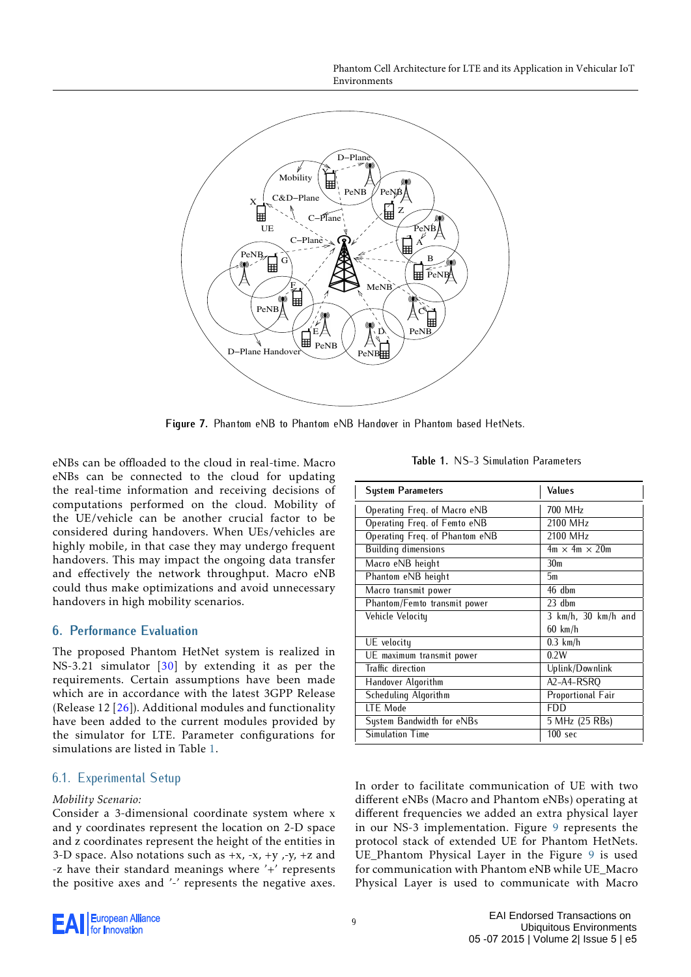Phantom Cell Architecture for LTE and its Application in Vehicular IoT Environments

<span id="page-8-1"></span>

**Figure 7.** Phantom eNB to Phantom eNB Handover in Phantom based HetNets.

eNBs can be offloaded to the cloud in real-time. Macro eNBs can be connected to the cloud for updating the real-time information and receiving decisions of computations performed on the cloud. Mobility of the UE/vehicle can be another crucial factor to be considered during handovers. When UEs/vehicles are highly mobile, in that case they may undergo frequent handovers. This may impact the ongoing data transfer and effectively the network throughput. Macro eNB could thus make optimizations and avoid unnecessary handovers in high mobility scenarios.

## <span id="page-8-0"></span>**6. Performance Evaluation**

The proposed Phantom HetNet system is realized in NS-3.21 simulator [\[30\]](#page-15-18) by extending it as per the requirements. Certain assumptions have been made which are in accordance with the latest 3GPP Release (Release 12 [\[26\]](#page-15-15)). Additional modules and functionality have been added to the current modules provided by the simulator for LTE. Parameter configurations for simulations are listed in Table [1.](#page-8-2)

## 6.1. Experimental Setup

#### *Mobility Scenario:*

Consider a 3-dimensional coordinate system where x and y coordinates represent the location on 2-D space and z coordinates represent the height of the entities in 3-D space. Also notations such as  $+x$ ,  $-x$ ,  $+y$ ,  $-y$ ,  $+z$  and -z have their standard meanings where  $\overrightarrow{+}$  represents the positive axes and '-' represents the negative axes.

**Table 1.** NS-3 Simulation Parameters

<span id="page-8-2"></span>

| <b>System Parameters</b>            | Values                    |
|-------------------------------------|---------------------------|
| Operating Freg. of Macro eNB        | 700 MHz                   |
| Operating Freq. of Femto eNB        | 2100 MHz                  |
| Operating Freq. of Phantom eNB      | 2100 MHz                  |
| <b>Building dimensions</b>          | $4m \times 4m \times 20m$ |
| Macro eNB height                    | 30 <sub>m</sub>           |
| Phantom eNB height                  | 5m                        |
| Macro transmit power                | 46 dbm                    |
| <b>Phantom/Femto transmit power</b> | $23$ dbm                  |
| Vehicle Velocity                    | 3 km/h, 30 km/h and       |
|                                     | $60 \ km/h$               |
| UE velocity                         | $0.3$ km/h                |
| UE maximum transmit power           | 0.2W                      |
| <b>Traffic direction</b>            | Uplink/Downlink           |
| Handover Algorithm                  | A2-A4-RSRO                |
| Scheduling Algorithm                | <b>Proportional Fair</b>  |
| LTE Mode                            | <b>FDD</b>                |
| System Bandwidth for eNBs           | 5 MHz (25 RBs)            |
| <b>Simulation Time</b>              | 100 <sub>sec</sub>        |

In order to facilitate communication of UE with two different eNBs (Macro and Phantom eNBs) operating at different frequencies we added an extra physical layer in our NS-3 implementation. Figure [9](#page-9-0) represents the protocol stack of extended UE for Phantom HetNets. UE Phantom Physical Layer in the Figure [9](#page-9-0) is used for communication with Phantom eNB while UE\_Macro Physical Layer is used to communicate with Macro

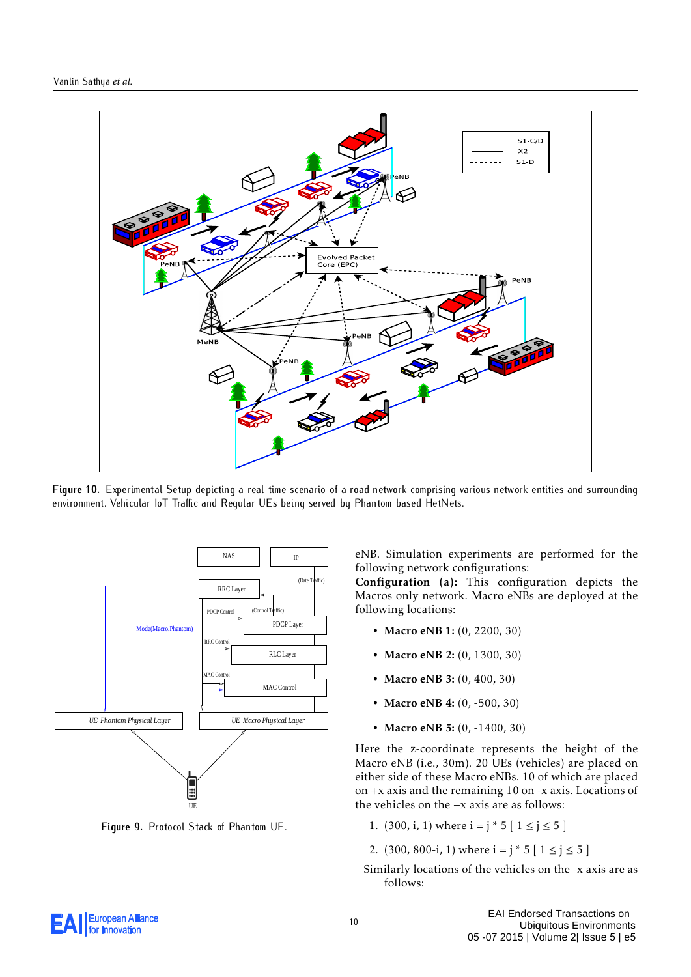<span id="page-9-1"></span>

**Figure 10.** Experimental Setup depicting a real time scenario of a road network comprising various network entities and surrounding environment. Vehicular IoT Traffic and Regular UEs being served by Phantom based HetNets.

<span id="page-9-0"></span>

**Figure 9.** Protocol Stack of Phantom UE.

eNB. Simulation experiments are performed for the following network configurations:

Configuration (a): This configuration depicts the Macros only network. Macro eNBs are deployed at the following locations:

- Macro eNB 1: (0, 2200, 30)
- Macro eNB 2: (0, 1300, 30)
- Macro eNB 3: (0, 400, 30)
- Macro eNB 4: (0, -500, 30)
- Macro eNB 5: (0, -1400, 30)

Here the z-coordinate represents the height of the Macro eNB (i.e., 30m). 20 UEs (vehicles) are placed on either side of these Macro eNBs. 10 of which are placed on +x axis and the remaining 10 on -x axis. Locations of the vehicles on the +x axis are as follows:

- 1. (300, i, 1) where  $i = j * 5 [1 \le j \le 5]$
- 2. (300, 800-i, 1) where  $i = j * 5 [ 1 \le j \le 5 ]$
- Similarly locations of the vehicles on the -x axis are as follows:

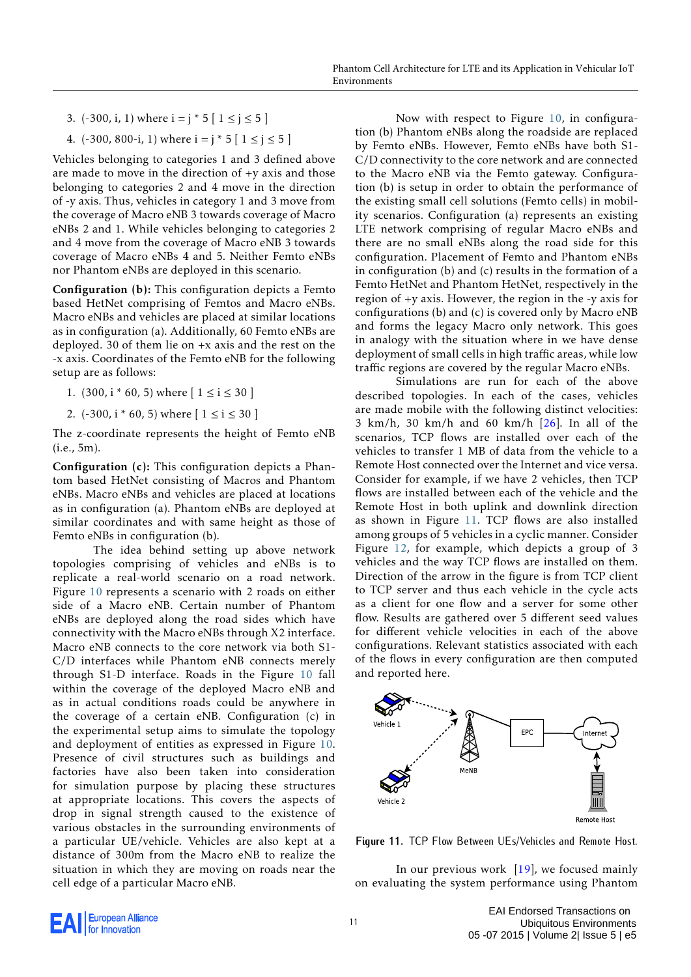- 3.  $(-300, i, 1)$  where  $i = j * 5 [1 \le j \le 5]$
- 4.  $(-300, 800-i, 1)$  where  $i = j * 5 [1 \le j \le 5]$

Vehicles belonging to categories 1 and 3 defined above are made to move in the direction of +y axis and those belonging to categories 2 and 4 move in the direction of -y axis. Thus, vehicles in category 1 and 3 move from the coverage of Macro eNB 3 towards coverage of Macro eNBs 2 and 1. While vehicles belonging to categories 2 and 4 move from the coverage of Macro eNB 3 towards coverage of Macro eNBs 4 and 5. Neither Femto eNBs nor Phantom eNBs are deployed in this scenario.

Configuration (b): This configuration depicts a Femto based HetNet comprising of Femtos and Macro eNBs. Macro eNBs and vehicles are placed at similar locations as in configuration (a). Additionally, 60 Femto eNBs are deployed. 30 of them lie on +x axis and the rest on the -x axis. Coordinates of the Femto eNB for the following setup are as follows:

- 1. (300,  $i * 60$ , 5) where  $[1 \le i \le 30]$
- 2.  $(-300, i * 60, 5)$  where  $[1 \le i \le 30]$

The z-coordinate represents the height of Femto eNB (i.e., 5m).

Configuration (c): This configuration depicts a Phantom based HetNet consisting of Macros and Phantom eNBs. Macro eNBs and vehicles are placed at locations as in configuration (a). Phantom eNBs are deployed at similar coordinates and with same height as those of Femto eNBs in configuration (b).

The idea behind setting up above network topologies comprising of vehicles and eNBs is to replicate a real-world scenario on a road network. Figure [10](#page-9-1) represents a scenario with 2 roads on either side of a Macro eNB. Certain number of Phantom eNBs are deployed along the road sides which have connectivity with the Macro eNBs through X2 interface. Macro eNB connects to the core network via both S1- C/D interfaces while Phantom eNB connects merely through S1-D interface. Roads in the Figure [10](#page-9-1) fall within the coverage of the deployed Macro eNB and as in actual conditions roads could be anywhere in the coverage of a certain eNB. Configuration (c) in the experimental setup aims to simulate the topology and deployment of entities as expressed in Figure [10.](#page-9-1) Presence of civil structures such as buildings and factories have also been taken into consideration for simulation purpose by placing these structures at appropriate locations. This covers the aspects of drop in signal strength caused to the existence of various obstacles in the surrounding environments of a particular UE/vehicle. Vehicles are also kept at a distance of 300m from the Macro eNB to realize the situation in which they are moving on roads near the cell edge of a particular Macro eNB.

Now with respect to Figure [10,](#page-9-1) in configuration (b) Phantom eNBs along the roadside are replaced by Femto eNBs. However, Femto eNBs have both S1- C/D connectivity to the core network and are connected to the Macro eNB via the Femto gateway. Configuration (b) is setup in order to obtain the performance of the existing small cell solutions (Femto cells) in mobility scenarios. Configuration (a) represents an existing LTE network comprising of regular Macro eNBs and there are no small eNBs along the road side for this configuration. Placement of Femto and Phantom eNBs in configuration (b) and (c) results in the formation of a Femto HetNet and Phantom HetNet, respectively in the region of +y axis. However, the region in the -y axis for configurations (b) and (c) is covered only by Macro eNB and forms the legacy Macro only network. This goes in analogy with the situation where in we have dense deployment of small cells in high traffic areas, while low traffic regions are covered by the regular Macro eNBs.

Simulations are run for each of the above described topologies. In each of the cases, vehicles are made mobile with the following distinct velocities: 3 km/h, 30 km/h and 60 km/h [\[26\]](#page-15-15). In all of the scenarios, TCP flows are installed over each of the vehicles to transfer 1 MB of data from the vehicle to a Remote Host connected over the Internet and vice versa. Consider for example, if we have 2 vehicles, then TCP flows are installed between each of the vehicle and the Remote Host in both uplink and downlink direction as shown in Figure [11.](#page-10-0) TCP flows are also installed among groups of 5 vehicles in a cyclic manner. Consider Figure [12,](#page-11-0) for example, which depicts a group of 3 vehicles and the way TCP flows are installed on them. Direction of the arrow in the figure is from TCP client to TCP server and thus each vehicle in the cycle acts as a client for one flow and a server for some other flow. Results are gathered over 5 different seed values for different vehicle velocities in each of the above configurations. Relevant statistics associated with each of the flows in every configuration are then computed and reported here.

<span id="page-10-0"></span>

**Figure 11.** TCP Flow Between UEs/Vehicles and Remote Host.

In our previous work [\[19\]](#page-15-9), we focused mainly on evaluating the system performance using Phantom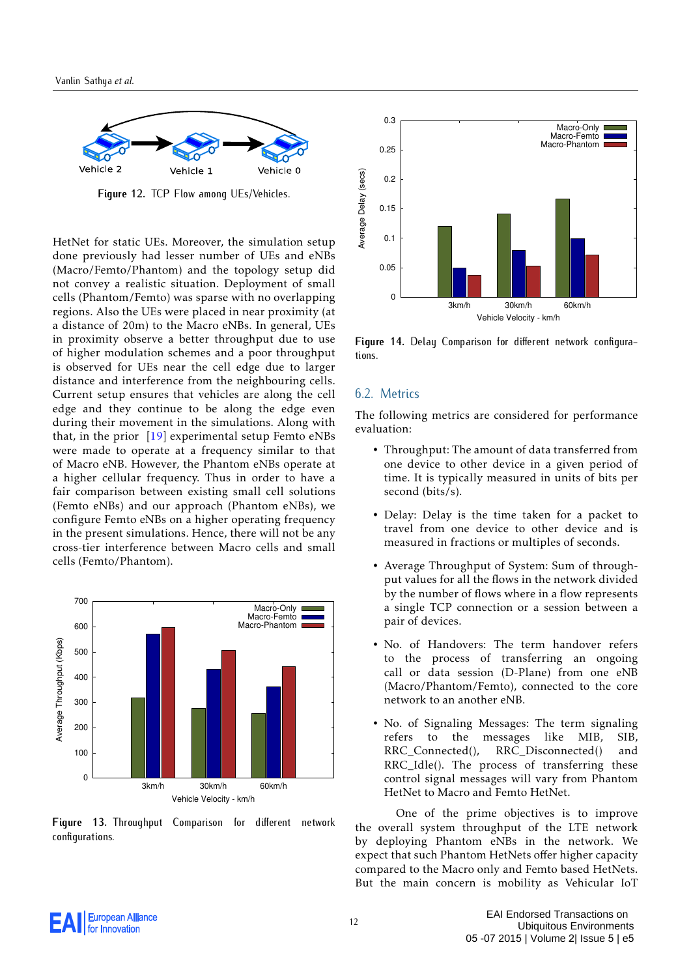<span id="page-11-0"></span>

**Figure 12.** TCP Flow among UEs/Vehicles.

HetNet for static UEs. Moreover, the simulation setup done previously had lesser number of UEs and eNBs (Macro/Femto/Phantom) and the topology setup did not convey a realistic situation. Deployment of small cells (Phantom/Femto) was sparse with no overlapping regions. Also the UEs were placed in near proximity (at a distance of 20m) to the Macro eNBs. In general, UEs in proximity observe a better throughput due to use of higher modulation schemes and a poor throughput is observed for UEs near the cell edge due to larger distance and interference from the neighbouring cells. Current setup ensures that vehicles are along the cell edge and they continue to be along the edge even during their movement in the simulations. Along with that, in the prior  $[19]$  experimental setup Femto eNBs were made to operate at a frequency similar to that of Macro eNB. However, the Phantom eNBs operate at a higher cellular frequency. Thus in order to have a fair comparison between existing small cell solutions (Femto eNBs) and our approach (Phantom eNBs), we configure Femto eNBs on a higher operating frequency in the present simulations. Hence, there will not be any cross-tier interference between Macro cells and small cells (Femto/Phantom).

<span id="page-11-1"></span>

**Figure 13.** Throughput Comparison for different network configurations.

<span id="page-11-2"></span>

**Figure 14.** Delay Comparison for different network configurations.

#### 6.2. Metrics

The following metrics are considered for performance evaluation:

- Throughput: The amount of data transferred from one device to other device in a given period of time. It is typically measured in units of bits per second (bits/s).
- Delay: Delay is the time taken for a packet to travel from one device to other device and is measured in fractions or multiples of seconds.
- Average Throughput of System: Sum of throughput values for all the flows in the network divided by the number of flows where in a flow represents a single TCP connection or a session between a pair of devices.
- No. of Handovers: The term handover refers to the process of transferring an ongoing call or data session (D-Plane) from one eNB (Macro/Phantom/Femto), connected to the core network to an another eNB.
- No. of Signaling Messages: The term signaling refers to the messages like MIB, SIB, RRC\_Connected(), RRC\_Disconnected() and RRC\_Idle(). The process of transferring these control signal messages will vary from Phantom HetNet to Macro and Femto HetNet.

One of the prime objectives is to improve the overall system throughput of the LTE network by deploying Phantom eNBs in the network. We expect that such Phantom HetNets offer higher capacity compared to the Macro only and Femto based HetNets. But the main concern is mobility as Vehicular IoT

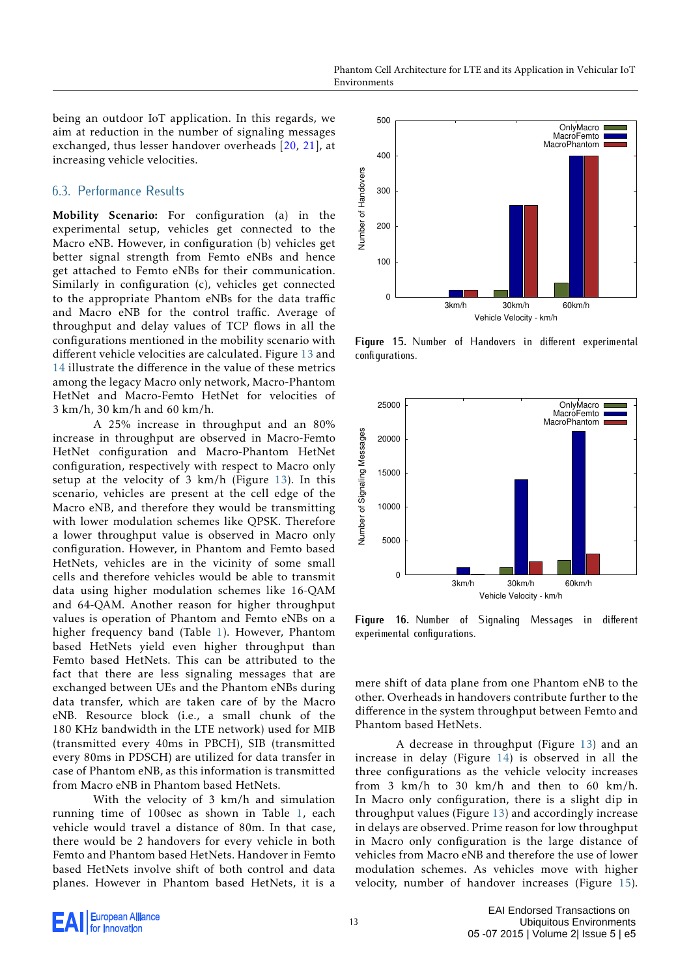being an outdoor IoT application. In this regards, we aim at reduction in the number of signaling messages exchanged, thus lesser handover overheads [\[20,](#page-15-10) [21\]](#page-15-11), at increasing vehicle velocities.

## 6.3. Performance Results

Mobility Scenario: For configuration (a) in the experimental setup, vehicles get connected to the Macro eNB. However, in configuration (b) vehicles get better signal strength from Femto eNBs and hence get attached to Femto eNBs for their communication. Similarly in configuration (c), vehicles get connected to the appropriate Phantom eNBs for the data traffic and Macro eNB for the control traffic. Average of throughput and delay values of TCP flows in all the configurations mentioned in the mobility scenario with different vehicle velocities are calculated. Figure [13](#page-11-1) and [14](#page-11-2) illustrate the difference in the value of these metrics among the legacy Macro only network, Macro-Phantom HetNet and Macro-Femto HetNet for velocities of 3 km/h, 30 km/h and 60 km/h.

A 25% increase in throughput and an 80% increase in throughput are observed in Macro-Femto HetNet configuration and Macro-Phantom HetNet configuration, respectively with respect to Macro only setup at the velocity of 3 km/h (Figure [13\)](#page-11-1). In this scenario, vehicles are present at the cell edge of the Macro eNB, and therefore they would be transmitting with lower modulation schemes like QPSK. Therefore a lower throughput value is observed in Macro only configuration. However, in Phantom and Femto based HetNets, vehicles are in the vicinity of some small cells and therefore vehicles would be able to transmit data using higher modulation schemes like 16-QAM and 64-QAM. Another reason for higher throughput values is operation of Phantom and Femto eNBs on a higher frequency band (Table [1\)](#page-8-2). However, Phantom based HetNets yield even higher throughput than Femto based HetNets. This can be attributed to the fact that there are less signaling messages that are exchanged between UEs and the Phantom eNBs during data transfer, which are taken care of by the Macro eNB. Resource block (i.e., a small chunk of the 180 KHz bandwidth in the LTE network) used for MIB (transmitted every 40ms in PBCH), SIB (transmitted every 80ms in PDSCH) are utilized for data transfer in case of Phantom eNB, as this information is transmitted from Macro eNB in Phantom based HetNets.

With the velocity of 3 km/h and simulation running time of 100sec as shown in Table [1,](#page-8-2) each vehicle would travel a distance of 80m. In that case, there would be 2 handovers for every vehicle in both Femto and Phantom based HetNets. Handover in Femto based HetNets involve shift of both control and data planes. However in Phantom based HetNets, it is a

<span id="page-12-0"></span>

**Figure 15.** Number of Handovers in different experimental configurations.

<span id="page-12-1"></span>

**Figure 16.** Number of Signaling Messages in different experimental configurations.

mere shift of data plane from one Phantom eNB to the other. Overheads in handovers contribute further to the difference in the system throughput between Femto and Phantom based HetNets.

A decrease in throughput (Figure [13\)](#page-11-1) and an increase in delay (Figure [14\)](#page-11-2) is observed in all the three configurations as the vehicle velocity increases from 3 km/h to 30 km/h and then to 60 km/h. In Macro only configuration, there is a slight dip in throughput values (Figure [13\)](#page-11-1) and accordingly increase in delays are observed. Prime reason for low throughput in Macro only configuration is the large distance of vehicles from Macro eNB and therefore the use of lower modulation schemes. As vehicles move with higher velocity, number of handover increases (Figure [15\)](#page-12-0).

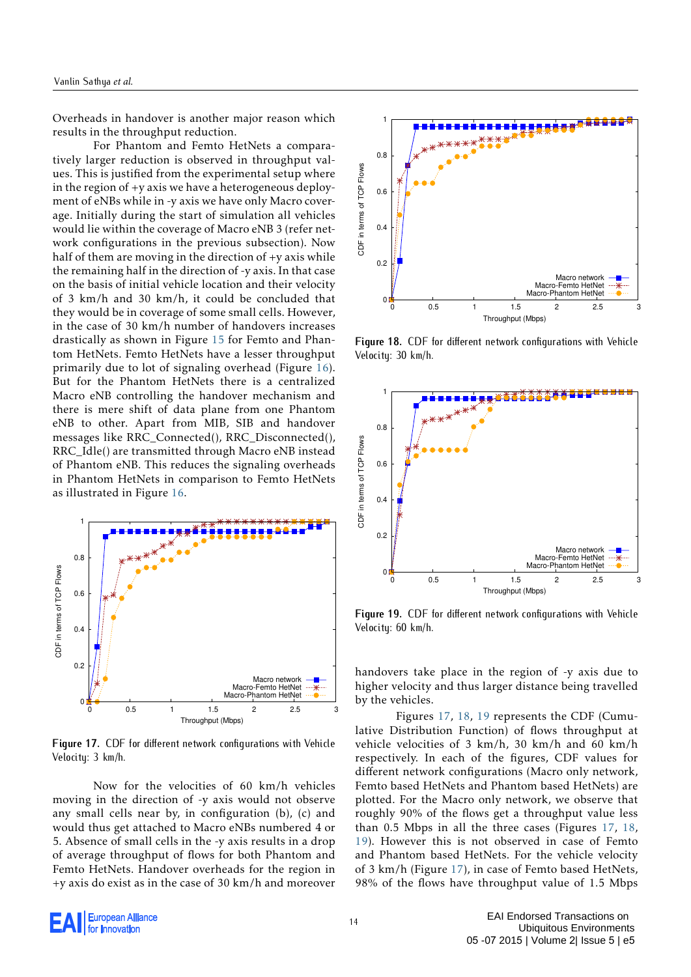Overheads in handover is another major reason which results in the throughput reduction.

For Phantom and Femto HetNets a comparatively larger reduction is observed in throughput values. This is justified from the experimental setup where in the region of +y axis we have a heterogeneous deployment of eNBs while in -y axis we have only Macro coverage. Initially during the start of simulation all vehicles would lie within the coverage of Macro eNB 3 (refer network configurations in the previous subsection). Now half of them are moving in the direction of +y axis while the remaining half in the direction of -y axis. In that case on the basis of initial vehicle location and their velocity of 3 km/h and 30 km/h, it could be concluded that they would be in coverage of some small cells. However, in the case of 30 km/h number of handovers increases drastically as shown in Figure [15](#page-12-0) for Femto and Phantom HetNets. Femto HetNets have a lesser throughput primarily due to lot of signaling overhead (Figure [16\)](#page-12-1). But for the Phantom HetNets there is a centralized Macro eNB controlling the handover mechanism and there is mere shift of data plane from one Phantom eNB to other. Apart from MIB, SIB and handover messages like RRC\_Connected(), RRC\_Disconnected(), RRC\_Idle() are transmitted through Macro eNB instead of Phantom eNB. This reduces the signaling overheads in Phantom HetNets in comparison to Femto HetNets as illustrated in Figure [16.](#page-12-1)

<span id="page-13-0"></span>

**Figure 17.** CDF for different network configurations with Vehicle Velocity: 3 km/h.

Now for the velocities of 60 km/h vehicles moving in the direction of -y axis would not observe any small cells near by, in configuration (b), (c) and would thus get attached to Macro eNBs numbered 4 or 5. Absence of small cells in the -y axis results in a drop of average throughput of flows for both Phantom and Femto HetNets. Handover overheads for the region in +y axis do exist as in the case of 30 km/h and moreover

<span id="page-13-1"></span>

**Figure 18.** CDF for different network configurations with Vehicle Velocity: 30 km/h.

<span id="page-13-2"></span>

**Figure 19.** CDF for different network configurations with Vehicle Velocity: 60 km/h.

handovers take place in the region of -y axis due to higher velocity and thus larger distance being travelled by the vehicles.

Figures [17,](#page-13-0) [18,](#page-13-1) [19](#page-13-2) represents the CDF (Cumulative Distribution Function) of flows throughput at vehicle velocities of 3 km/h, 30 km/h and 60 km/h respectively. In each of the figures, CDF values for different network configurations (Macro only network, Femto based HetNets and Phantom based HetNets) are plotted. For the Macro only network, we observe that roughly 90% of the flows get a throughput value less than 0.5 Mbps in all the three cases (Figures [17,](#page-13-0) [18,](#page-13-1) [19\)](#page-13-2). However this is not observed in case of Femto and Phantom based HetNets. For the vehicle velocity of 3 km/h (Figure [17\)](#page-13-0), in case of Femto based HetNets, 98% of the flows have throughput value of 1.5 Mbps

**European Alliance** for Innovation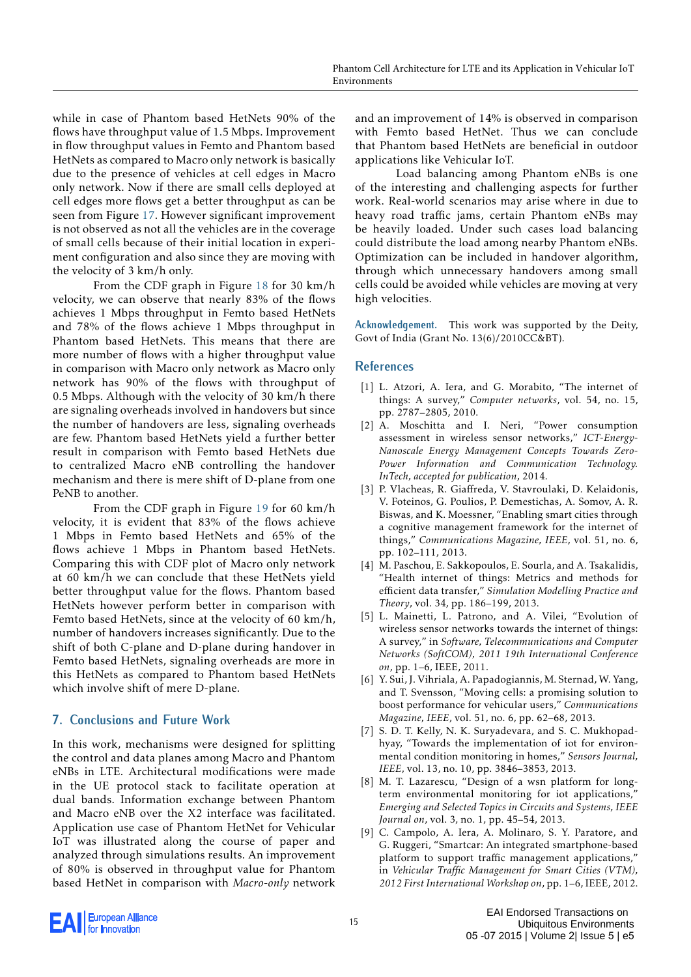while in case of Phantom based HetNets 90% of the flows have throughput value of 1.5 Mbps. Improvement in flow throughput values in Femto and Phantom based HetNets as compared to Macro only network is basically due to the presence of vehicles at cell edges in Macro only network. Now if there are small cells deployed at cell edges more flows get a better throughput as can be seen from Figure [17.](#page-13-0) However significant improvement is not observed as not all the vehicles are in the coverage of small cells because of their initial location in experiment configuration and also since they are moving with the velocity of 3 km/h only.

From the CDF graph in Figure [18](#page-13-1) for 30 km/h velocity, we can observe that nearly 83% of the flows achieves 1 Mbps throughput in Femto based HetNets and 78% of the flows achieve 1 Mbps throughput in Phantom based HetNets. This means that there are more number of flows with a higher throughput value in comparison with Macro only network as Macro only network has 90% of the flows with throughput of 0.5 Mbps. Although with the velocity of 30 km/h there are signaling overheads involved in handovers but since the number of handovers are less, signaling overheads are few. Phantom based HetNets yield a further better result in comparison with Femto based HetNets due to centralized Macro eNB controlling the handover mechanism and there is mere shift of D-plane from one PeNB to another.

From the CDF graph in Figure [19](#page-13-2) for 60 km/h velocity, it is evident that 83% of the flows achieve 1 Mbps in Femto based HetNets and 65% of the flows achieve 1 Mbps in Phantom based HetNets. Comparing this with CDF plot of Macro only network at 60 km/h we can conclude that these HetNets yield better throughput value for the flows. Phantom based HetNets however perform better in comparison with Femto based HetNets, since at the velocity of 60 km/h, number of handovers increases significantly. Due to the shift of both C-plane and D-plane during handover in Femto based HetNets, signaling overheads are more in this HetNets as compared to Phantom based HetNets which involve shift of mere D-plane.

# <span id="page-14-9"></span>**7. Conclusions and Future Work**

In this work, mechanisms were designed for splitting the control and data planes among Macro and Phantom eNBs in LTE. Architectural modifications were made in the UE protocol stack to facilitate operation at dual bands. Information exchange between Phantom and Macro eNB over the X2 interface was facilitated. Application use case of Phantom HetNet for Vehicular IoT was illustrated along the course of paper and analyzed through simulations results. An improvement of 80% is observed in throughput value for Phantom based HetNet in comparison with *Macro-only* network and an improvement of 14% is observed in comparison with Femto based HetNet. Thus we can conclude that Phantom based HetNets are beneficial in outdoor applications like Vehicular IoT.

Load balancing among Phantom eNBs is one of the interesting and challenging aspects for further work. Real-world scenarios may arise where in due to heavy road traffic jams, certain Phantom eNBs may be heavily loaded. Under such cases load balancing could distribute the load among nearby Phantom eNBs. Optimization can be included in handover algorithm, through which unnecessary handovers among small cells could be avoided while vehicles are moving at very high velocities.

**Acknowledgement.** This work was supported by the Deity, Govt of India (Grant No. 13(6)/2010CC&BT).

## **References**

- <span id="page-14-0"></span>[1] L. Atzori, A. Iera, and G. Morabito, "The internet of things: A survey," *Computer networks*, vol. 54, no. 15, pp. 2787–2805, 2010.
- <span id="page-14-1"></span>[2] A. Moschitta and I. Neri, "Power consumption assessment in wireless sensor networks," *ICT-Energy-Nanoscale Energy Management Concepts Towards Zero-Power Information and Communication Technology. InTech, accepted for publication*, 2014.
- <span id="page-14-2"></span>[3] P. Vlacheas, R. Giaffreda, V. Stavroulaki, D. Kelaidonis, V. Foteinos, G. Poulios, P. Demestichas, A. Somov, A. R. Biswas, and K. Moessner, "Enabling smart cities through a cognitive management framework for the internet of things," *Communications Magazine, IEEE*, vol. 51, no. 6, pp. 102–111, 2013.
- <span id="page-14-3"></span>[4] M. Paschou, E. Sakkopoulos, E. Sourla, and A. Tsakalidis, "Health internet of things: Metrics and methods for efficient data transfer," *Simulation Modelling Practice and Theory*, vol. 34, pp. 186–199, 2013.
- <span id="page-14-4"></span>[5] L. Mainetti, L. Patrono, and A. Vilei, "Evolution of wireless sensor networks towards the internet of things: A survey," in *Software, Telecommunications and Computer Networks (SoftCOM), 2011 19th International Conference on*, pp. 1–6, IEEE, 2011.
- <span id="page-14-5"></span>[6] Y. Sui, J. Vihriala, A. Papadogiannis, M. Sternad, W. Yang, and T. Svensson, "Moving cells: a promising solution to boost performance for vehicular users," *Communications Magazine, IEEE*, vol. 51, no. 6, pp. 62–68, 2013.
- <span id="page-14-6"></span>[7] S. D. T. Kelly, N. K. Suryadevara, and S. C. Mukhopadhyay, "Towards the implementation of iot for environmental condition monitoring in homes," *Sensors Journal, IEEE*, vol. 13, no. 10, pp. 3846–3853, 2013.
- <span id="page-14-7"></span>[8] M. T. Lazarescu, "Design of a wsn platform for longterm environmental monitoring for iot applications,' *Emerging and Selected Topics in Circuits and Systems, IEEE Journal on*, vol. 3, no. 1, pp. 45–54, 2013.
- <span id="page-14-8"></span>[9] C. Campolo, A. Iera, A. Molinaro, S. Y. Paratore, and G. Ruggeri, "Smartcar: An integrated smartphone-based platform to support traffic management applications," in *Vehicular Traffic Management for Smart Cities (VTM), 2012 First International Workshop on*, pp. 1–6, IEEE, 2012.